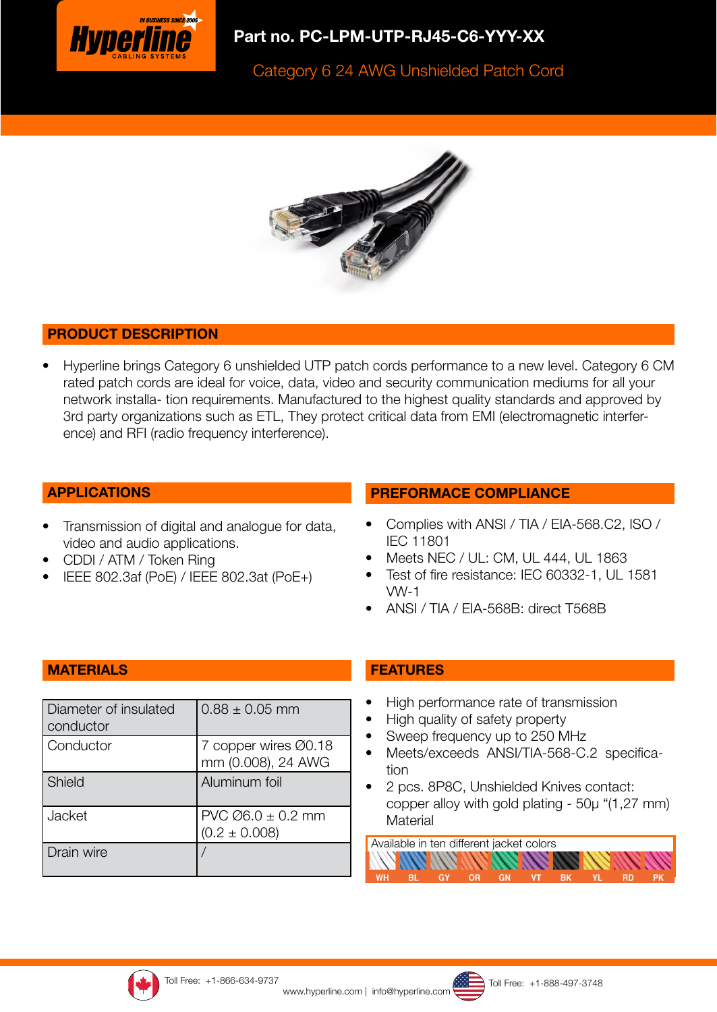

# Part no. PC-LPM-UTP-RJ45-C6-YYY-XX

Category 6 24 AWG Unshielded Patch Cord



#### PRODUCT DESCRIPTION

• Hyperline brings Category 6 unshielded UTP patch cords performance to a new level. Category 6 CM rated patch cords are ideal for voice, data, video and security communication mediums for all your network installa- tion requirements. Manufactured to the highest quality standards and approved by 3rd party organizations such as ETL, They protect critical data from EMI (electromagnetic interference) and RFI (radio frequency interference).

#### APPLICATIONS

- Transmission of digital and analogue for data, video and audio applications.
- CDDI / ATM / Token Ring
- IEEE 802.3af (PoE) / IEEE 802.3at (PoE+)

#### PREFORMACE COMPLIANCE

- Complies with ANSI / TIA / EIA-568.C2, ISO / IEC 11801
- Meets NEC / UL: CM, UL 444, UL 1863
- Test of fire resistance: IEC 60332-1, UL 1581 VW-1
- ANSI / TIA / EIA-568B: direct T568B

#### **MATERIALS**

| Diameter of insulated<br>conductor | $0.88 \pm 0.05$ mm                           |
|------------------------------------|----------------------------------------------|
| Conductor                          | 7 copper wires Ø0.18<br>mm (0.008), 24 AWG   |
| Shield                             | Aluminum foil                                |
| Jacket                             | $PVC$ $Ø6.0 \pm 0.2$ mm<br>$(0.2 \pm 0.008)$ |
| Drain wire                         |                                              |

## FEATURES

- High performance rate of transmission
- High quality of safety property
- Sweep frequency up to 250 MHz
- Meets/exceeds ANSI/TIA-568-C.2 specification
- 2 pcs. 8P8C, Unshielded Knives contact: copper alloy with gold plating - 50μ "(1,27 mm) **Material**

Available in ten different jacket colors